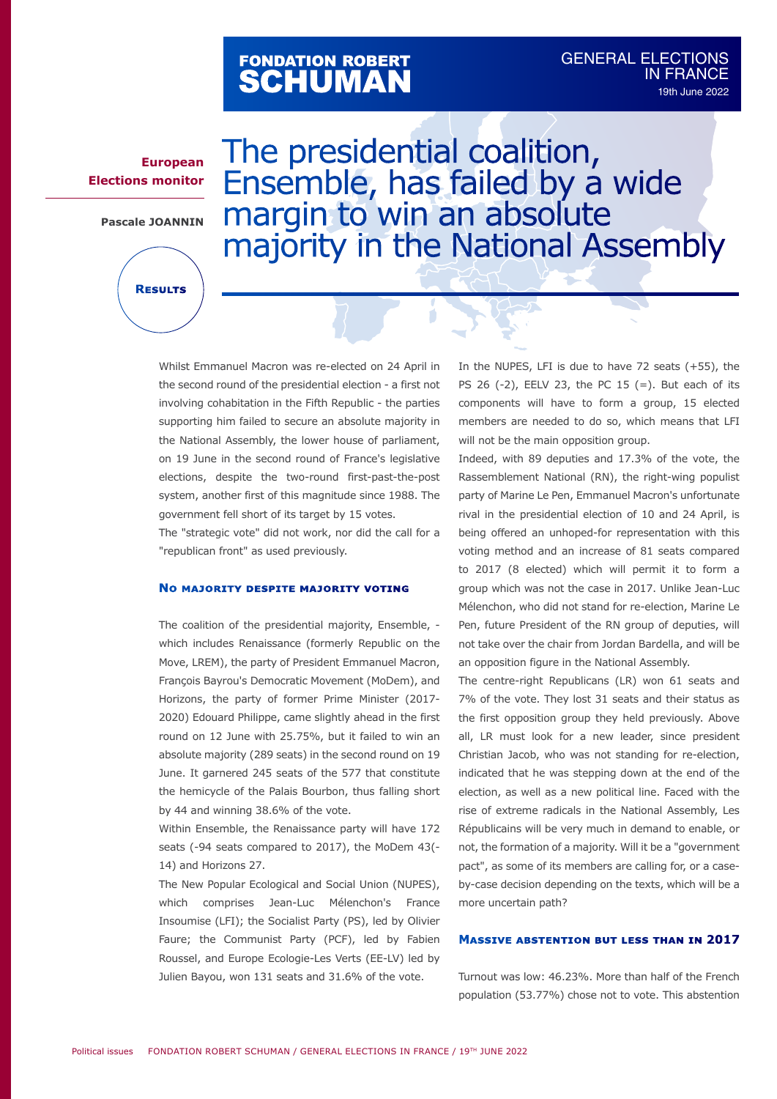# FONDATION ROBERT<br>**SCHUMAN**

### **European Elections monitor**

**Pascale JOANNIN**

**Results**

# The presidential coalition, Ensemble, has failed by a wide margin to win an absolute majority in the National Assembly

Whilst Emmanuel Macron was re-elected on 24 April in the second round of the presidential election - a first not involving cohabitation in the Fifth Republic - the parties supporting him failed to secure an absolute majority in the National Assembly, the lower house of parliament, on 19 June in the second round of France's legislative elections, despite the two-round first-past-the-post system, another first of this magnitude since 1988. The government fell short of its target by 15 votes.

The "strategic vote" did not work, nor did the call for a "republican front" as used previously.

#### **No majority despite majority voting**

The coalition of the presidential majority, Ensemble, which includes Renaissance (formerly Republic on the Move, LREM), the party of President Emmanuel Macron, François Bayrou's Democratic Movement (MoDem), and Horizons, the party of former Prime Minister (2017- 2020) Edouard Philippe, came slightly ahead in the first round on 12 June with 25.75%, but it failed to win an absolute majority (289 seats) in the second round on 19 June. It garnered 245 seats of the 577 that constitute the hemicycle of the Palais Bourbon, thus falling short by 44 and winning 38.6% of the vote.

Within Ensemble, the Renaissance party will have 172 seats (-94 seats compared to 2017), the MoDem 43(- 14) and Horizons 27.

The New Popular Ecological and Social Union (NUPES), which comprises Jean-Luc Mélenchon's France Insoumise (LFI); the Socialist Party (PS), led by Olivier Faure; the Communist Party (PCF), led by Fabien Roussel, and Europe Ecologie-Les Verts (EE-LV) led by Julien Bayou, won 131 seats and 31.6% of the vote.

In the NUPES, LFI is due to have 72 seats (+55), the PS 26  $(-2)$ , EELV 23, the PC 15  $(=)$ . But each of its components will have to form a group, 15 elected members are needed to do so, which means that LFI will not be the main opposition group.

Indeed, with 89 deputies and 17.3% of the vote, the Rassemblement National (RN), the right-wing populist party of Marine Le Pen, Emmanuel Macron's unfortunate rival in the presidential election of 10 and 24 April, is being offered an unhoped-for representation with this voting method and an increase of 81 seats compared to 2017 (8 elected) which will permit it to form a group which was not the case in 2017. Unlike Jean-Luc Mélenchon, who did not stand for re-election, Marine Le Pen, future President of the RN group of deputies, will not take over the chair from Jordan Bardella, and will be an opposition figure in the National Assembly.

The centre-right Republicans (LR) won 61 seats and 7% of the vote. They lost 31 seats and their status as the first opposition group they held previously. Above all, LR must look for a new leader, since president Christian Jacob, who was not standing for re-election, indicated that he was stepping down at the end of the election, as well as a new political line. Faced with the rise of extreme radicals in the National Assembly, Les Républicains will be very much in demand to enable, or not, the formation of a majority. Will it be a "government pact", as some of its members are calling for, or a caseby-case decision depending on the texts, which will be a more uncertain path?

#### **Massive abstention but less than in 2017**

Turnout was low: 46.23%. More than half of the French population (53.77%) chose not to vote. This abstention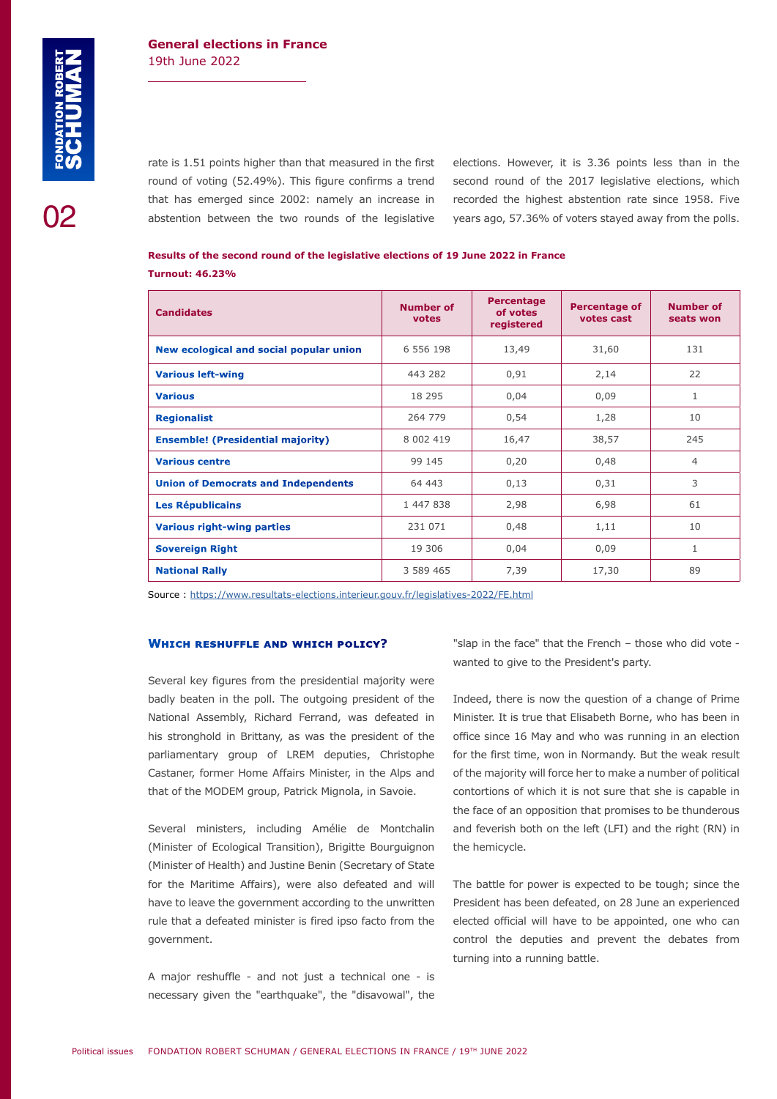02

#### **General elections in France** 19th June 2022

rate is 1.51 points higher than that measured in the first round of voting (52.49%). This figure confirms a trend that has emerged since 2002: namely an increase in abstention between the two rounds of the legislative elections. However, it is 3.36 points less than in the second round of the 2017 legislative elections, which recorded the highest abstention rate since 1958. Five years ago, 57.36% of voters stayed away from the polls.

| Results of the second round of the legislative elections of 19 June 2022 in France |  |  |
|------------------------------------------------------------------------------------|--|--|
| <b>Turnout: 46.23%</b>                                                             |  |  |

| <b>Candidates</b>                          | Number of<br>votes | <b>Percentage</b><br>of votes<br>registered | <b>Percentage of</b><br>votes cast | <b>Number of</b><br>seats won |
|--------------------------------------------|--------------------|---------------------------------------------|------------------------------------|-------------------------------|
| New ecological and social popular union    | 6 556 198          | 13,49                                       | 31,60                              | 131                           |
| <b>Various left-wing</b>                   | 443 282            | 0,91                                        | 2,14                               | 22                            |
| <b>Various</b>                             | 18 295             | 0,04                                        | 0,09                               | 1                             |
| <b>Regionalist</b>                         | 264 779            | 0,54                                        | 1,28                               | 10                            |
| <b>Ensemble!</b> (Presidential majority)   | 8 002 419          | 16,47                                       | 38,57                              | 245                           |
| <b>Various centre</b>                      | 99 145             | 0,20                                        | 0,48                               | $\overline{4}$                |
| <b>Union of Democrats and Independents</b> | 64 443             | 0,13                                        | 0,31                               | 3                             |
| <b>Les Républicains</b>                    | 1 447 838          | 2,98                                        | 6,98                               | 61                            |
| <b>Various right-wing parties</b>          | 231 071            | 0,48                                        | 1,11                               | 10                            |
| <b>Sovereign Right</b>                     | 19 306             | 0,04                                        | 0,09                               | 1                             |
| <b>National Rally</b>                      | 3 589 465          | 7,39                                        | 17,30                              | 89                            |

Source : <https://www.resultats-elections.interieur.gouv.fr/legislatives-2022/FE.html>

#### **Which reshuffle and which policy?**

Several key figures from the presidential majority were badly beaten in the poll. The outgoing president of the National Assembly, Richard Ferrand, was defeated in his stronghold in Brittany, as was the president of the parliamentary group of LREM deputies, Christophe Castaner, former Home Affairs Minister, in the Alps and that of the MODEM group, Patrick Mignola, in Savoie.

Several ministers, including Amélie de Montchalin (Minister of Ecological Transition), Brigitte Bourguignon (Minister of Health) and Justine Benin (Secretary of State for the Maritime Affairs), were also defeated and will have to leave the government according to the unwritten rule that a defeated minister is fired ipso facto from the government.

A major reshuffle - and not just a technical one - is necessary given the "earthquake", the "disavowal", the

"slap in the face" that the French – those who did vote wanted to give to the President's party.

Indeed, there is now the question of a change of Prime Minister. It is true that Elisabeth Borne, who has been in office since 16 May and who was running in an election for the first time, won in Normandy. But the weak result of the majority will force her to make a number of political contortions of which it is not sure that she is capable in the face of an opposition that promises to be thunderous and feverish both on the left (LFI) and the right (RN) in the hemicycle.

The battle for power is expected to be tough; since the President has been defeated, on 28 June an experienced elected official will have to be appointed, one who can control the deputies and prevent the debates from turning into a running battle.